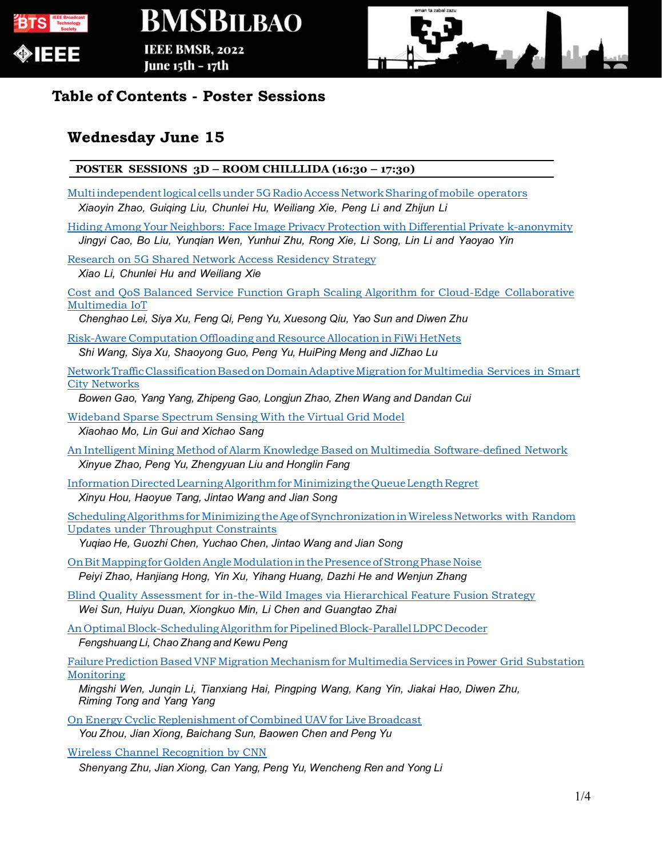

## **BMSBILBAO IEEE BMSB, 2022**

June 15th – 17th



### **Table of Contents - Poster Sessions**

### **Wednesday June 15**

#### **POSTER SESSIONS 3D – ROOM CHILLLIDA (16:30 – 17:30)**

- Multi independent logical cells under 5G Radio Access Network Sharing of mobile operators *Xiaoyin Zhao, Guiqing Liu, Chunlei Hu, Weiliang Xie, Peng Li and Zhijun Li*
- Hiding Among Your Neighbors: Face Image Privacy Protection with Differential Private k-anonymity *Jingyi Cao, Bo Liu, Yunqian Wen, Yunhui Zhu, Rong Xie, Li Song, Lin Li and Yaoyao Yin*

Research on 5G Shared Network Access Residency Strategy

*Xiao Li, Chunlei Hu and Weiliang Xie*

Cost and QoS Balanced Service Function Graph Scaling Algorithm for Cloud-Edge Collaborative Multimedia IoT

*Chenghao Lei, Siya Xu, Feng Qi, Peng Yu, Xuesong Qiu, Yao Sun and Diwen Zhu*

Risk-Aware Computation Offloading and Resource Allocation in FiWi HetNets *Shi Wang, Siya Xu, Shaoyong Guo, Peng Yu, HuiPing Meng and JiZhao Lu*

Network Traffic Classification Based on Domain Adaptive Migration for Multimedia Services in Smart City Networks

*Bowen Gao, Yang Yang, Zhipeng Gao, Longjun Zhao, Zhen Wang and Dandan Cui*

Wideband Sparse Spectrum Sensing With the Virtual Grid Model *Xiaohao Mo, Lin Gui and Xichao Sang*

- An Intelligent Mining Method of Alarm Knowledge Based on Multimedia Software-defined Network *Xinyue Zhao, Peng Yu, Zhengyuan Liu and Honglin Fang*
- Information Directed Learning Algorithm for Minimizing the Queue Length Regret *Xinyu Hou, Haoyue Tang, Jintao Wang and Jian Song*

Scheduling Algorithms for Minimizing the Age of Synchronization in Wireless Networks with Random Updates under Throughput Constraints

*Yuqiao He, Guozhi Chen, Yuchao Chen, Jintao Wang and Jian Song*

- On Bit Mapping for Golden Angle Modulation in the Presence of Strong Phase Noise *Peiyi Zhao, Hanjiang Hong, Yin Xu, Yihang Huang, Dazhi He and Wenjun Zhang*
- Blind Quality Assessment for in-the-Wild Images via Hierarchical Feature Fusion Strategy *Wei Sun, Huiyu Duan, Xiongkuo Min, Li Chen and Guangtao Zhai*

An Optimal Block-Scheduling Algorithm for Pipelined Block-Parallel LDPC Decoder

*Fengshuang Li, Chao Zhang and Kewu Peng*

Failure Prediction Based VNF Migration Mechanism for Multimedia Services in Power Grid Substation Monitoring

*Mingshi Wen, Junqin Li, Tianxiang Hai, Pingping Wang, Kang Yin, Jiakai Hao, Diwen Zhu, Riming Tong and Yang Yang*

On Energy Cyclic Replenishment of Combined UAV for Live Broadcast

*You Zhou, Jian Xiong, Baichang Sun, Baowen Chen and Peng Yu*

Wireless Channel Recognition by CNN

*Shenyang Zhu, Jian Xiong, Can Yang, Peng Yu, Wencheng Ren and Yong Li*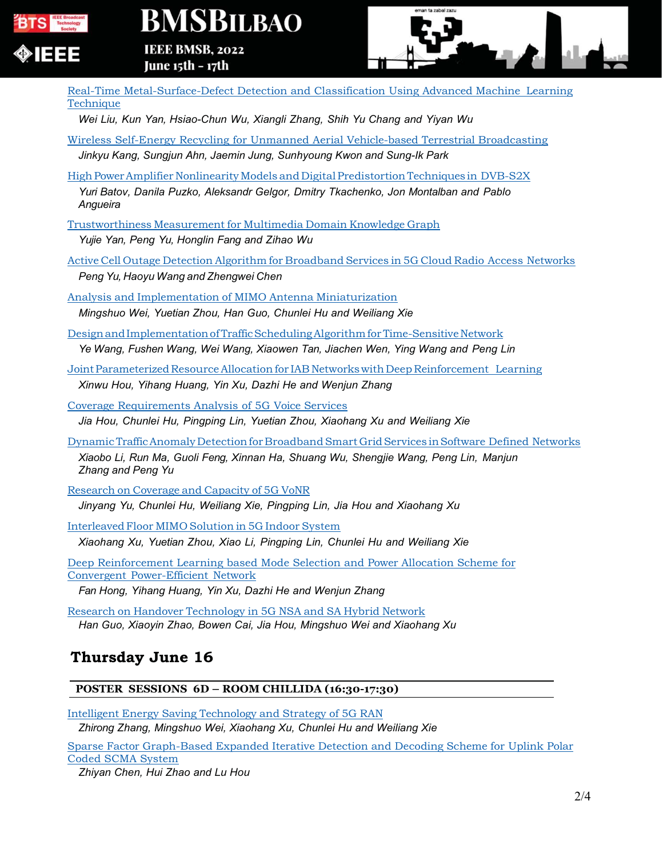

# **BMSBILBAO**

**IEEE BMSB, 2022** June 15th – 17th



Real-Time Metal-Surface-Defect Detection and Classification Using Advanced Machine Learning **Technique** 

*Wei Liu, Kun Yan, Hsiao-Chun Wu, Xiangli Zhang, Shih Yu Chang and Yiyan Wu*

- Wireless Self-Energy Recycling for Unmanned Aerial Vehicle-based Terrestrial Broadcasting *Jinkyu Kang, Sungjun Ahn, Jaemin Jung, Sunhyoung Kwon and Sung-Ik Park*
- High Power Amplifier Nonlinearity Models and Digital Predistortion Techniques in DVB-S2X

*Yuri Batov, Danila Puzko, Aleksandr Gelgor, Dmitry Tkachenko, Jon Montalban and Pablo Angueira*

Trustworthiness Measurement for Multimedia Domain Knowledge Graph

*Yujie Yan, Peng Yu, Honglin Fang and Zihao Wu*

Active Cell Outage Detection Algorithm for Broadband Services in 5G Cloud Radio Access Networks *Peng Yu, Haoyu Wang and Zhengwei Chen*

Analysis and Implementation of MIMO Antenna Miniaturization *Mingshuo Wei, Yuetian Zhou, Han Guo, Chunlei Hu and Weiliang Xie*

Design and Implementation of Traffic Scheduling Algorithm for Time-Sensitive Network *Ye Wang, Fushen Wang, Wei Wang, Xiaowen Tan, Jiachen Wen, Ying Wang and Peng Lin*

Joint Parameterized Resource Allocation for IAB Networks with Deep Reinforcement Learning *Xinwu Hou, Yihang Huang, Yin Xu, Dazhi He and Wenjun Zhang*

Coverage Requirements Analysis of 5G Voice Services

*Jia Hou, Chunlei Hu, Pingping Lin, Yuetian Zhou, Xiaohang Xu and Weiliang Xie*

Dynamic Traffic Anomaly Detection for Broadband Smart Grid Services in Software Defined Networks *Xiaobo Li, Run Ma, Guoli Feng, Xinnan Ha, Shuang Wu, Shengjie Wang, Peng Lin, Manjun Zhang and Peng Yu*

Research on Coverage and Capacity of 5G VoNR

*Jinyang Yu, Chunlei Hu, Weiliang Xie, Pingping Lin, Jia Hou and Xiaohang Xu*

Interleaved Floor MIMO Solution in 5G Indoor System

*Xiaohang Xu, Yuetian Zhou, Xiao Li, Pingping Lin, Chunlei Hu and Weiliang Xie*

Deep Reinforcement Learning based Mode Selection and Power Allocation Scheme for Convergent Power-Efficient Network

*Fan Hong, Yihang Huang, Yin Xu, Dazhi He and Wenjun Zhang*

Research on Handover Technology in 5G NSA and SA Hybrid Network *Han Guo, Xiaoyin Zhao, Bowen Cai, Jia Hou, Mingshuo Wei and Xiaohang Xu*

### **Thursday June 16**

#### **POSTER SESSIONS 6D – ROOM CHILLIDA (16:30-17:30)**

Intelligent Energy Saving Technology and Strategy of 5G RAN

*Zhirong Zhang, Mingshuo Wei, Xiaohang Xu, Chunlei Hu and Weiliang Xie*

Sparse Factor Graph-Based Expanded Iterative Detection and Decoding Scheme for Uplink Polar Coded SCMA System

*Zhiyan Chen, Hui Zhao and Lu Hou*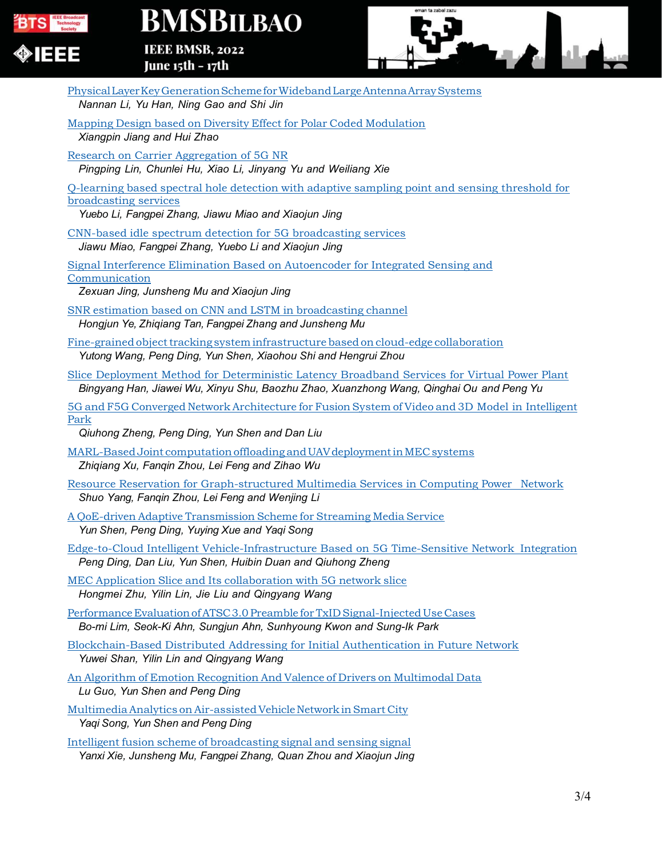

# **BMSBILBAO**

IEEE BMSB, 2022 June 15th - 17th



| Physical Layer Key Generation Scheme for Wideband Large Antenna Array Systems<br>Nannan Li, Yu Han, Ning Gao and Shi Jin                                                                |
|-----------------------------------------------------------------------------------------------------------------------------------------------------------------------------------------|
| Mapping Design based on Diversity Effect for Polar Coded Modulation<br>Xiangpin Jiang and Hui Zhao                                                                                      |
| Research on Carrier Aggregation of 5G NR<br>Pingping Lin, Chunlei Hu, Xiao Li, Jinyang Yu and Weiliang Xie                                                                              |
| Q-learning based spectral hole detection with adaptive sampling point and sensing threshold for<br>broadcasting services<br>Yuebo Li, Fangpei Zhang, Jiawu Miao and Xiaojun Jing        |
| CNN-based idle spectrum detection for 5G broadcasting services<br>Jiawu Miao, Fangpei Zhang, Yuebo Li and Xiaojun Jing                                                                  |
| Signal Interference Elimination Based on Autoencoder for Integrated Sensing and<br>Communication<br>Zexuan Jing, Junsheng Mu and Xiaojun Jing                                           |
| SNR estimation based on CNN and LSTM in broadcasting channel<br>Hongjun Ye, Zhiqiang Tan, Fangpei Zhang and Junsheng Mu                                                                 |
| Fine-grained object tracking system infrastructure based on cloud-edge collaboration<br>Yutong Wang, Peng Ding, Yun Shen, Xiaohou Shi and Hengrui Zhou                                  |
| Slice Deployment Method for Deterministic Latency Broadband Services for Virtual Power Plant<br>Bingyang Han, Jiawei Wu, Xinyu Shu, Baozhu Zhao, Xuanzhong Wang, Qinghai Ou and Peng Yu |
| 5G and F5G Converged Network Architecture for Fusion System of Video and 3D Model in Intelligent<br>Park<br>Qiuhong Zheng, Peng Ding, Yun Shen and Dan Liu                              |
| MARL-Based Joint computation offloading and UAV deployment in MEC systems<br>Zhiqiang Xu, Fanqin Zhou, Lei Feng and Zihao Wu                                                            |
| Resource Reservation for Graph-structured Multimedia Services in Computing Power Network<br>Shuo Yang, Fanqin Zhou, Lei Feng and Wenjing Li                                             |
| A QoE-driven Adaptive Transmission Scheme for Streaming Media Service<br>Yun Shen, Peng Ding, Yuying Xue and Yaqi Song                                                                  |
| Edge-to-Cloud Intelligent Vehicle-Infrastructure Based on 5G Time-Sensitive Network Integration<br>Peng Ding, Dan Liu, Yun Shen, Huibin Duan and Qiuhong Zheng                          |
| MEC Application Slice and Its collaboration with 5G network slice<br>Hongmei Zhu, Yilin Lin, Jie Liu and Qingyang Wang                                                                  |
| Performance Evaluation of ATSC 3.0 Preamble for TxID Signal-Injected Use Cases<br>Bo-mi Lim, Seok-Ki Ahn, Sungjun Ahn, Sunhyoung Kwon and Sung-Ik Park                                  |
| Blockchain-Based Distributed Addressing for Initial Authentication in Future Network<br>Yuwei Shan, Yilin Lin and Qingyang Wang                                                         |
| An Algorithm of Emotion Recognition And Valence of Drivers on Multimodal Data<br>Lu Guo, Yun Shen and Peng Ding                                                                         |
| Multimedia Analytics on Air-assisted Vehicle Network in Smart City<br>Yaqi Song, Yun Shen and Peng Ding                                                                                 |
| Intelligent fusion scheme of broadcasting signal and sensing signal                                                                                                                     |
| Yanxi Xie, Junsheng Mu, Fangpei Zhang, Quan Zhou and Xiaojun Jing                                                                                                                       |